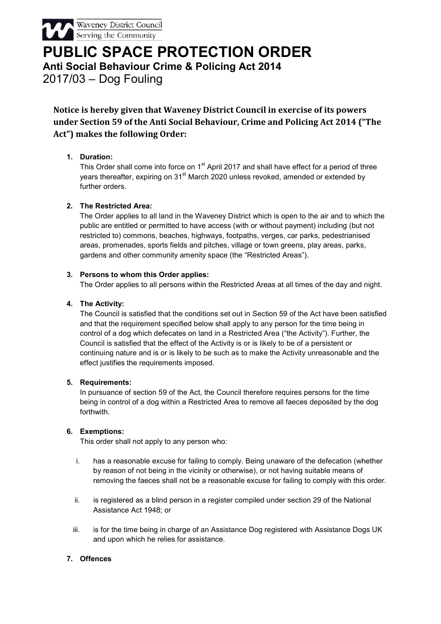

PUBLIC SPACE PROTECTION ORDER Anti Social Behaviour Crime & Policing Act 2014 2017/03 – Dog Fouling

Notice is hereby given that Waveney District Council in exercise of its powers under Section 59 of the Anti Social Behaviour, Crime and Policing Act 2014 ("The Act") makes the following Order:

# 1. Duration:

This Order shall come into force on 1<sup>st</sup> April 2017 and shall have effect for a period of three years thereafter, expiring on 31<sup>st</sup> March 2020 unless revoked, amended or extended by further orders.

# 2. The Restricted Area:

The Order applies to all land in the Waveney District which is open to the air and to which the public are entitled or permitted to have access (with or without payment) including (but not restricted to) commons, beaches, highways, footpaths, verges, car parks, pedestrianised areas, promenades, sports fields and pitches, village or town greens, play areas, parks, gardens and other community amenity space (the "Restricted Areas").

# 3. Persons to whom this Order applies:

The Order applies to all persons within the Restricted Areas at all times of the day and night.

# 4. The Activity:

The Council is satisfied that the conditions set out in Section 59 of the Act have been satisfied and that the requirement specified below shall apply to any person for the time being in control of a dog which defecates on land in a Restricted Area ("the Activity"). Further, the Council is satisfied that the effect of the Activity is or is likely to be of a persistent or continuing nature and is or is likely to be such as to make the Activity unreasonable and the effect justifies the requirements imposed.

#### 5. Requirements:

In pursuance of section 59 of the Act, the Council therefore requires persons for the time being in control of a dog within a Restricted Area to remove all faeces deposited by the dog forthwith.

#### 6. Exemptions:

This order shall not apply to any person who:

- i. has a reasonable excuse for failing to comply. Being unaware of the defecation (whether by reason of not being in the vicinity or otherwise), or not having suitable means of removing the faeces shall not be a reasonable excuse for failing to comply with this order.
- ii. is registered as a blind person in a register compiled under section 29 of the National Assistance Act 1948; or
- iii. is for the time being in charge of an Assistance Dog registered with Assistance Dogs UK and upon which he relies for assistance.

# 7. Offences